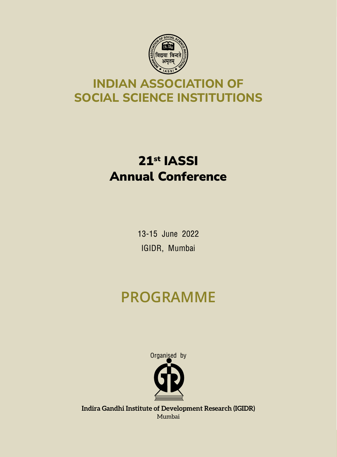

### **INDIAN ASSOCIATION OF SOCIAL SCIENCE INSTITUTIONS**

## 21st IASSI Annual Conference

13-15 June 2022 IGIDR, Mumbai

# **PROGRAMME**



**Indira Gandhi Institute of Development Research (IGIDR)** Mumbai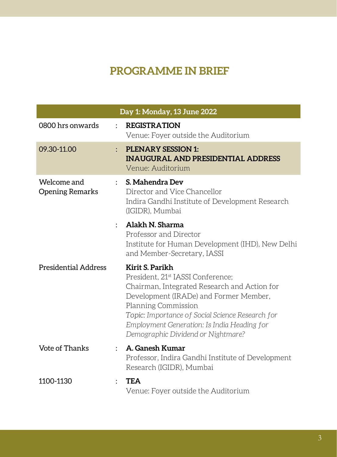### **PROGRAMME IN BRIEF**

| Day 1: Monday, 13 June 2022           |                |                                                                                                                                                                                                                                                                                                                            |
|---------------------------------------|----------------|----------------------------------------------------------------------------------------------------------------------------------------------------------------------------------------------------------------------------------------------------------------------------------------------------------------------------|
| 0800 hrs onwards                      | $\ddot{\cdot}$ | <b>REGISTRATION</b><br>Venue: Foyer outside the Auditorium                                                                                                                                                                                                                                                                 |
| 09.30-11.00                           | $\ddot{\cdot}$ | <b>PLENARY SESSION 1:</b><br><b>INAUGURAL AND PRESIDENTIAL ADDRESS</b><br>Venue: Auditorium                                                                                                                                                                                                                                |
| Welcome and<br><b>Opening Remarks</b> |                | S. Mahendra Dev<br>Director and Vice Chancellor<br>Indira Gandhi Institute of Development Research<br>(IGIDR), Mumbai                                                                                                                                                                                                      |
|                                       |                | Alakh N. Sharma<br>Professor and Director<br>Institute for Human Development (IHD), New Delhi<br>and Member-Secretary, IASSI                                                                                                                                                                                               |
| <b>Presidential Address</b>           |                | Kirit S. Parikh<br>President, 21 <sup>st</sup> IASSI Conference;<br>Chairman, Integrated Research and Action for<br>Development (IRADe) and Former Member,<br>Planning Commission<br>Topic: Importance of Social Science Research for<br>Employment Generation: Is India Heading for<br>Demographic Dividend or Nightmare? |
| <b>Vote of Thanks</b>                 |                | A. Ganesh Kumar<br>Professor, Indira Gandhi Institute of Development<br>Research (IGIDR), Mumbai                                                                                                                                                                                                                           |
| 1100-1130                             |                | <b>TEA</b><br>Venue: Foyer outside the Auditorium                                                                                                                                                                                                                                                                          |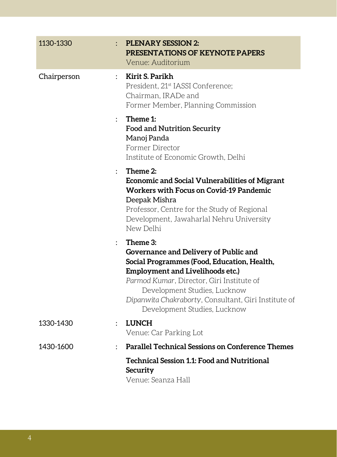| 1130-1330   | <b>PLENARY SESSION 2:</b><br>PRESENTATIONS OF KEYNOTE PAPERS<br>Venue: Auditorium                                                                                                                                                                                                                                                |
|-------------|----------------------------------------------------------------------------------------------------------------------------------------------------------------------------------------------------------------------------------------------------------------------------------------------------------------------------------|
| Chairperson | Kirit S. Parikh<br>$\ddot{\cdot}$<br>President, 21 <sup>st</sup> IASSI Conference;<br>Chairman, IRADe and<br>Former Member, Planning Commission                                                                                                                                                                                  |
|             | Theme 1:<br>$\ddot{\phantom{0}}$<br><b>Food and Nutrition Security</b><br>Manoj Panda<br>Former Director<br>Institute of Economic Growth, Delhi                                                                                                                                                                                  |
|             | Theme 2:<br><b>Economic and Social Vulnerabilities of Migrant</b><br><b>Workers with Focus on Covid-19 Pandemic</b><br>Deepak Mishra<br>Professor, Centre for the Study of Regional<br>Development, Jawaharlal Nehru University<br>New Delhi                                                                                     |
|             | Theme 3:<br>$\mathbf{r}$<br>Governance and Delivery of Public and<br>Social Programmes (Food, Education, Health,<br><b>Employment and Livelihoods etc.)</b><br>Parmod Kumar, Director, Giri Institute of<br>Development Studies, Lucknow<br>Dipanwita Chakraborty, Consultant, Giri Institute of<br>Development Studies, Lucknow |
| 1330-1430   | <b>LUNCH</b><br>$\ddot{\phantom{a}}$<br>Venue: Car Parking Lot                                                                                                                                                                                                                                                                   |
| 1430-1600   | <b>Parallel Technical Sessions on Conference Themes</b><br>$\ddot{\phantom{a}}$                                                                                                                                                                                                                                                  |
|             | <b>Technical Session 1.1: Food and Nutritional</b><br>Security<br>Vanua: Soanza Hall                                                                                                                                                                                                                                             |

Venue: Seanza Hall

п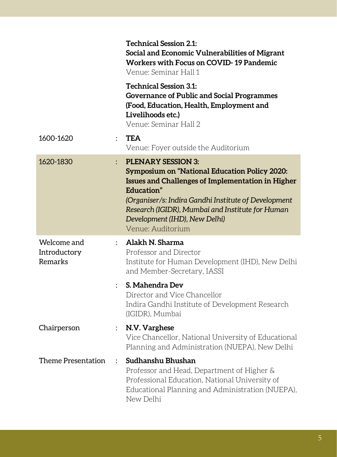|                                        |                | <b>Technical Session 2.1:</b><br>Social and Economic Vulnerabilities of Migrant<br>Workers with Focus on COVID-19 Pandemic<br>Venue: Seminar Hall 1                                                                                                                                                                           |
|----------------------------------------|----------------|-------------------------------------------------------------------------------------------------------------------------------------------------------------------------------------------------------------------------------------------------------------------------------------------------------------------------------|
|                                        |                | <b>Technical Session 3.1:</b><br><b>Governance of Public and Social Programmes</b><br>(Food, Education, Health, Employment and<br>Livelihoods etc.)<br>Venue: Seminar Hall 2                                                                                                                                                  |
| 1600-1620                              | $\ddot{\cdot}$ | <b>TEA</b><br>Venue: Foyer outside the Auditorium                                                                                                                                                                                                                                                                             |
| 1620-1830                              |                | <b>PLENARY SESSION 3:</b><br><b>Symposium on "National Education Policy 2020:</b><br><b>Issues and Challenges of Implementation in Higher</b><br>Education"<br>(Organiser/s: Indira Gandhi Institute of Development<br>Research (IGIDR), Mumbai and Institute for Human<br>Development (IHD), New Delhi)<br>Venue: Auditorium |
| Welcome and<br>Introductory<br>Remarks |                | Alakh N. Sharma<br>Professor and Director<br>Institute for Human Development (IHD), New Delhi<br>and Member-Secretary, IASSI                                                                                                                                                                                                  |
|                                        |                | S. Mahendra Dev<br>Director and Vice Chancellor<br>Indira Gandhi Institute of Development Research<br>(IGIDR), Mumbai                                                                                                                                                                                                         |
| Chairperson                            |                | : N.V. Varghese<br>Vice Chancellor, National University of Educational<br>Planning and Administration (NUEPA), New Delhi                                                                                                                                                                                                      |
| Theme Presentation                     |                | Sudhanshu Bhushan<br>Professor and Head, Department of Higher &<br>Professional Education, National University of<br>Educational Planning and Administration (NUEPA),<br>New Delhi                                                                                                                                            |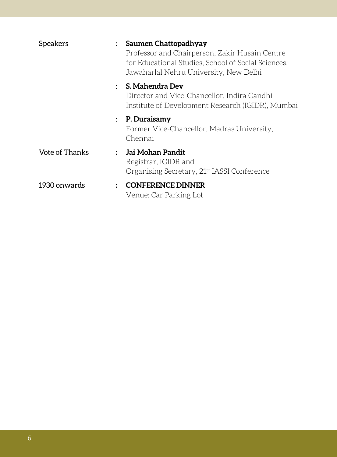| <b>Speakers</b> | Saumen Chattopadhyay<br>Professor and Chairperson, Zakir Husain Centre<br>for Educational Studies, School of Social Sciences,<br>Jawaharlal Nehru University, New Delhi |
|-----------------|-------------------------------------------------------------------------------------------------------------------------------------------------------------------------|
|                 | $:$ S. Mahendra Dev<br>Director and Vice-Chancellor, Indira Gandhi<br>Institute of Development Research (IGIDR), Mumbai                                                 |
|                 | $\therefore$ P. Duraisamy<br>Former Vice-Chancellor, Madras University,<br>Chennai                                                                                      |
| Vote of Thanks  | : Jai Mohan Pandit<br>Registrar, IGIDR and<br>Organising Secretary, 21 <sup>st</sup> IASSI Conference                                                                   |
| 1930 onwards    | <b>CONFERENCE DINNER</b><br>Venue: Car Parking Lot                                                                                                                      |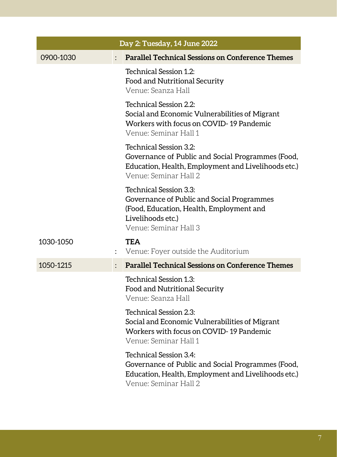|           | Day 2: Tuesday, 14 June 2022 |                                                                                                                                                                |  |
|-----------|------------------------------|----------------------------------------------------------------------------------------------------------------------------------------------------------------|--|
| 0900-1030 |                              | <b>Parallel Technical Sessions on Conference Themes</b>                                                                                                        |  |
|           |                              | Technical Session 1.2:<br>Food and Nutritional Security<br>Venue: Seanza Hall                                                                                  |  |
|           |                              | Technical Session 2.2:<br>Social and Economic Vulnerabilities of Migrant<br>Workers with focus on COVID-19 Pandemic<br>Venue: Seminar Hall 1                   |  |
|           |                              | Technical Session 3.2:<br>Governance of Public and Social Programmes (Food,<br>Education, Health, Employment and Livelihoods etc.)<br>Venue: Seminar Hall 2    |  |
|           |                              | Technical Session 3.3:<br>Governance of Public and Social Programmes<br>(Food, Education, Health, Employment and<br>Livelihoods etc.)<br>Venue: Seminar Hall 3 |  |
| 1030-1050 | $\ddot{\cdot}$               | <b>TEA</b><br>Venue: Foyer outside the Auditorium                                                                                                              |  |
| 1050-1215 |                              | <b>Parallel Technical Sessions on Conference Themes</b>                                                                                                        |  |
|           |                              | <b>Technical Session 1.3:</b><br>Food and Nutritional Security<br>Venue: Seanza Hall                                                                           |  |
|           |                              | Technical Session 2.3:<br>Social and Economic Vulnerabilities of Migrant<br>Workers with focus on COVID-19 Pandemic<br>Venue: Seminar Hall 1                   |  |
|           |                              | Technical Session 3.4:<br>Governance of Public and Social Programmes (Food,<br>Education, Health, Employment and Livelihoods etc.)<br>Venue: Seminar Hall 2    |  |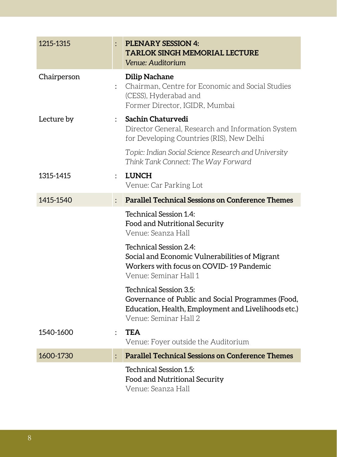| 1215-1315   |                      | <b>PLENARY SESSION 4:</b><br><b>TARLOK SINGH MEMORIAL LECTURE</b><br>Venue: Auditorium                                                                      |
|-------------|----------------------|-------------------------------------------------------------------------------------------------------------------------------------------------------------|
| Chairperson |                      | <b>Dilip Nachane</b><br>: Chairman, Centre for Economic and Social Studies<br>(CESS), Hyderabad and<br>Former Director, IGIDR, Mumbai                       |
| Lecture by  | $\ddot{\phantom{0}}$ | Sachin Chaturvedi<br>Director General, Research and Information System<br>for Developing Countries (RIS), New Delhi                                         |
|             |                      | Topic: Indian Social Science Research and University<br>Think Tank Connect: The Way Forward                                                                 |
| 1315-1415   | $\mathcal{L}$        | <b>LUNCH</b><br>Venue: Car Parking Lot                                                                                                                      |
| 1415-1540   | $\ddot{\phantom{a}}$ | <b>Parallel Technical Sessions on Conference Themes</b>                                                                                                     |
|             |                      | Technical Session 1.4:<br>Food and Nutritional Security<br>Venue: Seanza Hall                                                                               |
|             |                      | Technical Session 2.4:<br>Social and Economic Vulnerabilities of Migrant<br>Workers with focus on COVID-19 Pandemic<br>Venue: Seminar Hall 1                |
|             |                      | Technical Session 3.5:<br>Governance of Public and Social Programmes (Food,<br>Education, Health, Employment and Livelihoods etc.)<br>Venue: Seminar Hall 2 |
| 1540-1600   | $\ddot{\phantom{a}}$ | <b>TEA</b><br>Venue: Foyer outside the Auditorium                                                                                                           |
| 1600-1730   | $\vdots$             | <b>Parallel Technical Sessions on Conference Themes</b>                                                                                                     |
|             |                      | Technical Session 1.5:<br>Food and Nutritional Security<br>Venue: Seanza Hall                                                                               |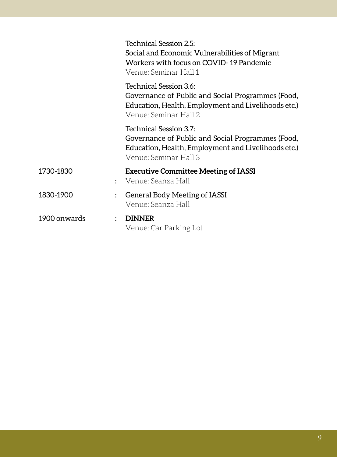|              | Technical Session 2.5:<br>Social and Economic Vulnerabilities of Migrant<br>Workers with focus on COVID-19 Pandemic<br>Venue: Seminar Hall 1                |
|--------------|-------------------------------------------------------------------------------------------------------------------------------------------------------------|
|              | Technical Session 3.6:<br>Governance of Public and Social Programmes (Food,<br>Education, Health, Employment and Livelihoods etc.)<br>Venue: Seminar Hall 2 |
|              | Technical Session 3.7:<br>Governance of Public and Social Programmes (Food,<br>Education, Health, Employment and Livelihoods etc.)<br>Venue: Seminar Hall 3 |
| 1730-1830    | <b>Executive Committee Meeting of IASSI</b><br>: Venue: Seanza Hall                                                                                         |
| 1830-1900    | General Body Meeting of IASSI<br>Venue: Seanza Hall                                                                                                         |
| 1900 onwards | <b>DINNER</b><br>Venue: Car Parking Lot                                                                                                                     |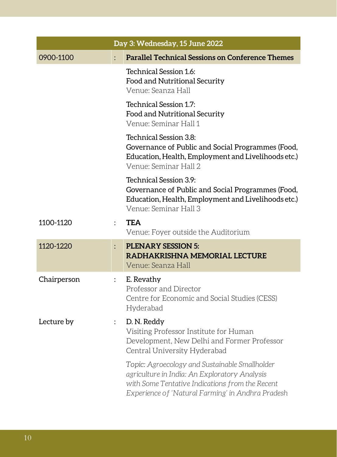| Day 3: Wednesday, 15 June 2022 |                           |                                                                                                                                                                                                         |
|--------------------------------|---------------------------|---------------------------------------------------------------------------------------------------------------------------------------------------------------------------------------------------------|
| 0900-1100                      |                           | <b>Parallel Technical Sessions on Conference Themes</b>                                                                                                                                                 |
|                                |                           | Technical Session 1.6:<br>Food and Nutritional Security<br>Venue: Seanza Hall                                                                                                                           |
|                                |                           | Technical Session 1.7:<br>Food and Nutritional Security<br>Venue: Seminar Hall 1                                                                                                                        |
|                                |                           | Technical Session 3.8:<br>Governance of Public and Social Programmes (Food,<br>Education, Health, Employment and Livelihoods etc.)<br>Venue: Seminar Hall 2                                             |
|                                |                           | Technical Session 3.9:<br>Governance of Public and Social Programmes (Food,<br>Education, Health, Employment and Livelihoods etc.)<br>Venue: Seminar Hall 3                                             |
| 1100-1120                      |                           | <b>TEA</b><br>Venue: Foyer outside the Auditorium                                                                                                                                                       |
| 1120-1220                      |                           | <b>PLENARY SESSION 5:</b><br>RADHAKRISHNA MEMORIAL LECTURE<br>Venue: Seanza Hall                                                                                                                        |
| Chairperson                    | $\mathbb{R}^{\mathbb{Z}}$ | E. Revathy<br>Professor and Director<br>Centre for Economic and Social Studies (CESS)<br>Hyderabad                                                                                                      |
| Lecture by                     |                           | D. N. Reddy<br>Visiting Professor Institute for Human<br>Development, New Delhi and Former Professor<br>Central University Hyderabad                                                                    |
|                                |                           | Topic: Agroecology and Sustainable Smallholder<br>agriculture in India: An Exploratory Analysis<br>with Some Tentative Indications from the Recent<br>Experience of 'Natural Farming' in Andhra Pradesh |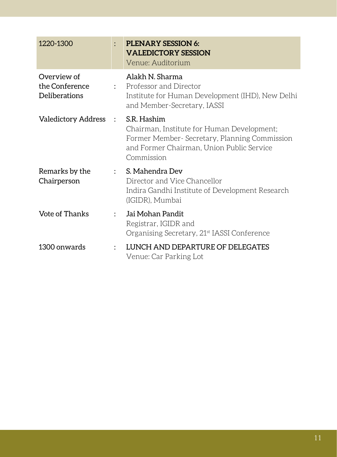| 1220-1300                                      |                      | PLENARY SESSION 6:<br><b>VALEDICTORY SESSION</b><br>Venue: Auditorium                                                                                                 |
|------------------------------------------------|----------------------|-----------------------------------------------------------------------------------------------------------------------------------------------------------------------|
| Overview of<br>the Conference<br>Deliberations |                      | Alakh N. Sharma<br>: Professor and Director<br>Institute for Human Development (IHD), New Delhi<br>and Member-Secretary, IASSI                                        |
| <b>Valedictory Address</b>                     | $\ddot{\cdot}$       | S.R. Hashim<br>Chairman, Institute for Human Development;<br>Former Member- Secretary, Planning Commission<br>and Former Chairman, Union Public Service<br>Commission |
| Remarks by the<br>Chairperson                  |                      | : S. Mahendra Dev<br>Director and Vice Chancellor<br>Indira Gandhi Institute of Development Research<br>(IGIDR), Mumbai                                               |
| Vote of Thanks                                 | $\ddot{\phantom{0}}$ | Jai Mohan Pandit<br>Registrar, IGIDR and<br>Organising Secretary, 21 <sup>st</sup> IASSI Conference                                                                   |
| 1300 onwards                                   |                      | LUNCH AND DEPARTURE OF DELEGATES<br>Venue: Car Parking Lot                                                                                                            |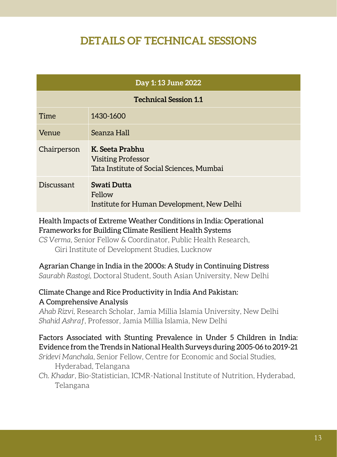### **DETAILS OF TECHNICAL SESSIONS**

| Day 1:13 June 2022           |                                                                                           |  |  |
|------------------------------|-------------------------------------------------------------------------------------------|--|--|
| <b>Technical Session 1.1</b> |                                                                                           |  |  |
| Time                         | 1430-1600                                                                                 |  |  |
| Venue                        | Seanza Hall                                                                               |  |  |
| Chairperson                  | K. Seeta Prabhu<br><b>Visiting Professor</b><br>Tata Institute of Social Sciences, Mumbai |  |  |
| Discussant                   | Swati Dutta<br>Fellow<br>Institute for Human Development, New Delhi                       |  |  |

#### Health Impacts of Extreme Weather Conditions in India: Operational Frameworks for Building Climate Resilient Health Systems

*CS Verma*, Senior Fellow & Coordinator, Public Health Research, Giri Institute of Development Studies, Lucknow

#### Agrarian Change in India in the 2000s: A Study in Continuing Distress

*Saurabh Rastogi*, Doctoral Student, South Asian University, New Delhi

#### Climate Change and Rice Productivity in India And Pakistan: A Comprehensive Analysis

*Ahab Rizvi*, Research Scholar, Jamia Millia Islamia University, New Delhi *Shahid Ashraf*, Professor, Jamia Millia Islamia, New Delhi

#### Factors Associated with Stunting Prevalence in Under 5 Children in India: Evidence from the Trends in National Health Surveys during 2005-06 to 2019-21

- *Sridevi Manchala*, Senior Fellow, Centre for Economic and Social Studies, Hyderabad, Telangana
- *Ch. Khadar*, Bio-Statistician, ICMR-National Institute of Nutrition, Hyderabad, Telangana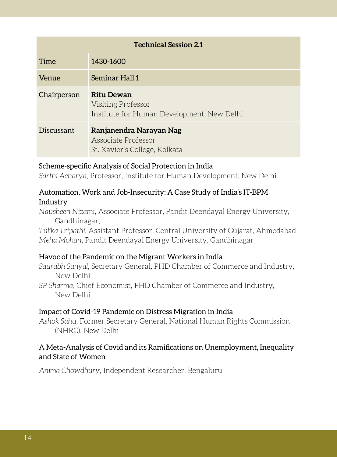| <b>Technical Session 2.1</b> |                                                                                       |  |
|------------------------------|---------------------------------------------------------------------------------------|--|
| Time                         | 1430-1600                                                                             |  |
| Venue                        | Seminar Hall 1                                                                        |  |
| Chairperson                  | <b>Ritu Dewan</b><br>Visiting Professor<br>Institute for Human Development, New Delhi |  |
| Discussant                   | Ranjanendra Narayan Nag<br>Associate Professor<br>St. Xavier's College, Kolkata       |  |

#### Scheme-specific Analysis of Social Protection in India

*Sarthi Acharya*, Professor, Institute for Human Development, New Delhi

#### Automation, Work and Job-Insecurity: A Case Study of India's IT-BPM Industry

*Nausheen Nizami*, Associate Professor, Pandit Deendayal Energy University, Gandhinagar,

*Tulika Tripathi*, Assistant Professor, Central University of Gujarat, Ahmedabad *Meha Mohan*, Pandit Deendayal Energy University, Gandhinagar

#### Havoc of the Pandemic on the Migrant Workers in India

*Saurabh Sanyal*, Secretary General, PHD Chamber of Commerce and Industry, New Delhi

*SP Sharma*, Chief Economist, PHD Chamber of Commerce and Industry, New Delhi

#### Impact of Covid-19 Pandemic on Distress Migration in India

*Ashok Sahu*, Former Secretary General, National Human Rights Commission (NHRC), New Delhi

#### A Meta-Analysis of Covid and its Ramifications on Unemployment, Inequality and State of Women

*Anima Chowdhury*, Independent Researcher, Bengaluru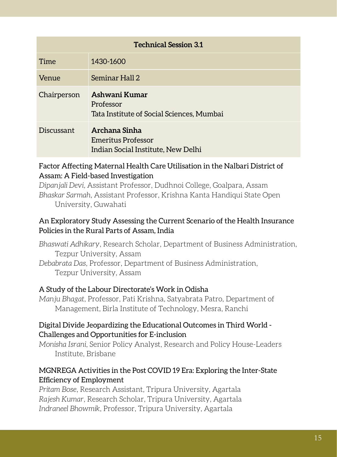| <b>Technical Session 3.1</b> |                                                                           |  |  |
|------------------------------|---------------------------------------------------------------------------|--|--|
| Time                         | 1430-1600                                                                 |  |  |
| Venue                        | Seminar Hall 2                                                            |  |  |
| Chairperson                  | Ashwani Kumar<br>Professor<br>Tata Institute of Social Sciences, Mumbai   |  |  |
| Discussant                   | Archana Sinha<br>Emeritus Professor<br>Indian Social Institute, New Delhi |  |  |

#### Factor Affecting Maternal Health Care Utilisation in the Nalbari District of Assam: A Field-based Investigation

*Dipanjali Devi*, Assistant Professor, Dudhnoi College, Goalpara, Assam *Bhaskar Sarmah*, Assistant Professor, Krishna Kanta Handiqui State Open University, Guwahati

#### An Exploratory Study Assessing the Current Scenario of the Health Insurance Policies in the Rural Parts of Assam, India

*Bhaswati Adhikary*, Research Scholar, Department of Business Administration, Tezpur University, Assam *Debabrata Das*, Professor, Department of Business Administration, Tezpur University, Assam

#### A Study of the Labour Directorate's Work in Odisha

*Manju Bhagat*, Professor, Pati Krishna, Satyabrata Patro, Department of Management, Birla Institute of Technology, Mesra, Ranchi

#### Digital Divide Jeopardizing the Educational Outcomes in Third World - Challenges and Opportunities for E-inclusion

*Monisha Israni*, Senior Policy Analyst, Research and Policy House-Leaders Institute, Brisbane

#### MGNREGA Activities in the Post COVID 19 Era: Exploring the Inter-State Efficiency of Employment

*Pritam Bose*, Research Assistant, Tripura University, Agartala *Rajesh Kumar*, Research Scholar, Tripura University, Agartala *Indraneel Bhowmik*, Professor, Tripura University, Agartala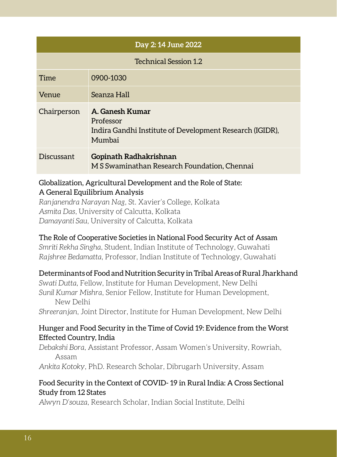|                              | Day 2:14 June 2022                                                                                 |
|------------------------------|----------------------------------------------------------------------------------------------------|
| <b>Technical Session 1.2</b> |                                                                                                    |
| Time                         | 0900-1030                                                                                          |
| Venue                        | Seanza Hall                                                                                        |
| Chairperson                  | A. Ganesh Kumar<br>Professor<br>Indira Gandhi Institute of Development Research (IGIDR),<br>Mumbai |
| Discussant                   | Gopinath Radhakrishnan<br>M S Swaminathan Research Foundation, Chennai                             |

#### Globalization, Agricultural Development and the Role of State: A General Equilibrium Analysis

*Ranjanendra Narayan Nag*, St. Xavier's College, Kolkata *Asmita Das*, University of Calcutta, Kolkata *Damayanti Sau*, University of Calcutta, Kolkata

#### The Role of Cooperative Societies in National Food Security Act of Assam

*Smriti Rekha Singha*, Student, Indian Institute of Technology, Guwahati *Rajshree Bedamatta*, Professor, Indian Institute of Technology, Guwahati

#### Determinants of Food and Nutrition Security in Tribal Areas of Rural Jharkhand

*Swati Dutta,* Fellow, Institute for Human Development, New Delhi *Sunil Kumar Mishra*, Senior Fellow, Institute for Human Development, New Delhi

*Shreeranjan*, Joint Director, Institute for Human Development, New Delhi

#### Hunger and Food Security in the Time of Covid 19: Evidence from the Worst Effected Country, India

*Debakshi Bora*, Assistant Professor, Assam Women's University, Rowriah, Assam

*Ankita Kotoky*, PhD. Research Scholar, Dibrugarh University, Assam

#### Food Security in the Context of COVID- 19 in Rural India: A Cross Sectional Study from 12 States

*Alwyn D'souza*, Research Scholar, Indian Social Institute, Delhi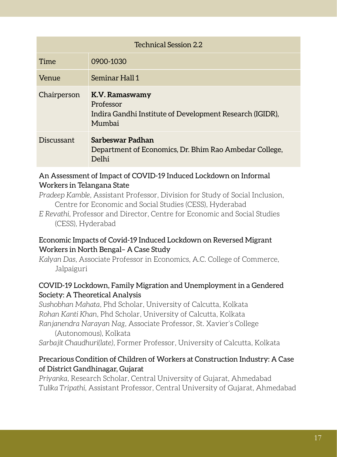| <b>Technical Session 2.2</b> |                                                                                                   |
|------------------------------|---------------------------------------------------------------------------------------------------|
| Time                         | 0900-1030                                                                                         |
| Venue                        | Seminar Hall 1                                                                                    |
| Chairperson                  | K.V. Ramaswamy<br>Professor<br>Indira Gandhi Institute of Development Research (IGIDR),<br>Mumbai |
| Discussant                   | Sarbeswar Padhan<br>Department of Economics, Dr. Bhim Rao Ambedar College,<br>Delhi               |

#### An Assessment of Impact of COVID-19 Induced Lockdown on Informal Workers in Telangana State

*Pradeep Kamble*, Assistant Professor, Division for Study of Social Inclusion, Centre for Economic and Social Studies (CESS), Hyderabad

*E Revathi*, Professor and Director, Centre for Economic and Social Studies (CESS), Hyderabad

#### Economic Impacts of Covid-19 Induced Lockdown on Reversed Migrant Workers in North Bengal– A Case Study

*Kalyan Das*, Associate Professor in Economics, A.C. College of Commerce, Jalpaiguri

#### COVID-19 Lockdown, Family Migration and Unemployment in a Gendered Society: A Theoretical Analysis

*Sushobhan Mahata*, Phd Scholar, University of Calcutta, Kolkata *Rohan Kanti Khan*, Phd Scholar, University of Calcutta, Kolkata *Ranjanendra Narayan Nag*, Associate Professor, St. Xavier's College

(Autonomous), Kolkata

*Sarbajit Chaudhuri(late)*, Former Professor, University of Calcutta, Kolkata

#### Precarious Condition of Children of Workers at Construction Industry: A Case of District Gandhinagar, Gujarat

*Priyanka*, Research Scholar, Central University of Gujarat, Ahmedabad *Tulika Tripathi*, Assistant Professor, Central University of Gujarat, Ahmedabad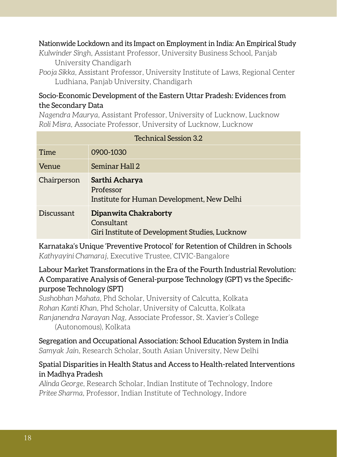#### Nationwide Lockdown and its Impact on Employment in India: An Empirical Study

*Kulwinder Singh*, Assistant Professor, University Business School, Panjab University Chandigarh

*Pooja Sikka*, Assistant Professor, University Institute of Laws, Regional Center Ludhiana, Panjab University, Chandigarh

#### Socio-Economic Development of the Eastern Uttar Pradesh: Evidences from the Secondary Data

*Nagendra Maurya*, Assistant Professor, University of Lucknow, Lucknow *Roli Misra*, Associate Professor, University of Lucknow, Lucknow

| <b>Technical Session 3.2</b> |                                                                                       |
|------------------------------|---------------------------------------------------------------------------------------|
| Time                         | 0900-1030                                                                             |
| <b>Venue</b>                 | Seminar Hall 2                                                                        |
| Chairperson                  | Sarthi Acharya<br>Professor<br>Institute for Human Development, New Delhi             |
| Discussant                   | Dipanwita Chakraborty<br>Consultant<br>Giri Institute of Development Studies, Lucknow |

Karnataka's Unique 'Preventive Protocol' for Retention of Children in Schools *Kathyayini Chamaraj*, Executive Trustee, CIVIC-Bangalore

#### Labour Market Transformations in the Era of the Fourth Industrial Revolution: A Comparative Analysis of General-purpose Technology (GPT) vs the Specificpurpose Technology (SPT)

*Sushobhan Mahata*, Phd Scholar, University of Calcutta, Kolkata *Rohan Kanti Khan*, Phd Scholar, University of Calcutta, Kolkata *Ranjanendra Narayan Nag*, Associate Professor, St. Xavier's College (Autonomous), Kolkata

Segregation and Occupational Association: School Education System in India *Samyak Jain*, Research Scholar, South Asian University, New Delhi

#### Spatial Disparities in Health Status and Access to Health-related Interventions in Madhya Pradesh

*Alinda George*, Research Scholar, Indian Institute of Technology, Indore *Pritee Sharma*, Professor, Indian Institute of Technology, Indore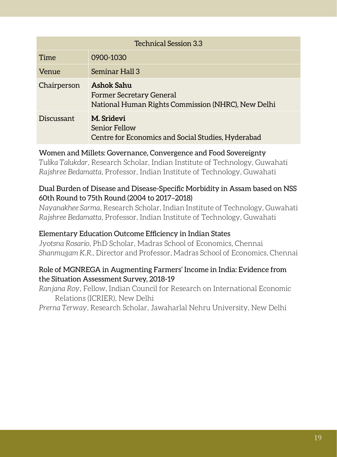| Technical Session 3.3 |                                                                                                     |
|-----------------------|-----------------------------------------------------------------------------------------------------|
| Time                  | 0900-1030                                                                                           |
| Venue                 | Seminar Hall 3                                                                                      |
| Chairperson           | Ashok Sahu<br><b>Former Secretary General</b><br>National Human Rights Commission (NHRC), New Delhi |
| Discussant            | M. Sridevi<br>Senior Fellow<br>Centre for Economics and Social Studies, Hyderabad                   |

#### Women and Millets: Governance, Convergence and Food Sovereignty

*Tulika Talukdar*, Research Scholar, Indian Institute of Technology, Guwahati *Rajshree Bedamatta*, Professor, Indian Institute of Technology, Guwahati

#### Dual Burden of Disease and Disease-Specific Morbidity in Assam based on NSS 60th Round to 75th Round (2004 to 2017–2018)

*Nayanakhee Sarma*, Research Scholar, Indian Institute of Technology, Guwahati *Rajshree Bedamatta*, Professor, Indian Institute of Technology, Guwahati

#### Elementary Education Outcome Efficiency in Indian States

*Jyotsna Rosario*, PhD Scholar, Madras School of Economics, Chennai *Shanmugam K.R.*, Director and Professor, Madras School of Economics, Chennai

#### Role of MGNREGA in Augmenting Farmers' Income in India: Evidence from the Situation Assessment Survey, 2018-19

*Ranjana Roy*, Fellow, Indian Council for Research on International Economic Relations (ICRIER), New Delhi

*Prerna Terway*, Research Scholar, Jawaharlal Nehru University, New Delhi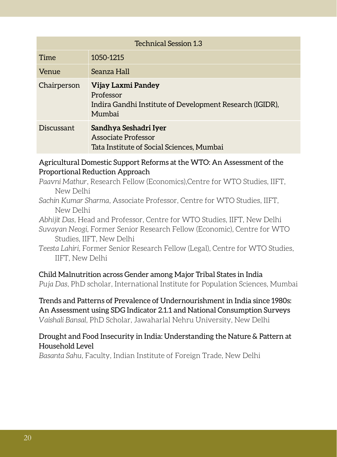| <b>Technical Session 1.3</b> |                                                                                                       |
|------------------------------|-------------------------------------------------------------------------------------------------------|
| Time                         | 1050-1215                                                                                             |
| Venue                        | Seanza Hall                                                                                           |
| Chairperson                  | Vijay Laxmi Pandey<br>Professor<br>Indira Gandhi Institute of Development Research (IGIDR),<br>Mumbai |
| Discussant                   | Sandhya Seshadri Iyer<br>Associate Professor<br>Tata Institute of Social Sciences, Mumbai             |

#### Agricultural Domestic Support Reforms at the WTO: An Assessment of the Proportional Reduction Approach

*Paavni Mathur*, Research Fellow (Economics),Centre for WTO Studies, IIFT, New Delhi

*Sachin Kumar Sharma*, Associate Professor, Centre for WTO Studies, IIFT, New Delhi

*Abhijit Das*, Head and Professor, Centre for WTO Studies, IIFT, New Delhi

*Suvayan Neogi*, Former Senior Research Fellow (Economic), Centre for WTO Studies, IIFT, New Delhi

*Teesta Lahiri*, Former Senior Research Fellow (Legal), Centre for WTO Studies, IIFT, New Delhi

#### Child Malnutrition across Gender among Major Tribal States in India

*Puja Das*, PhD scholar, International Institute for Population Sciences, Mumbai

#### Trends and Patterns of Prevalence of Undernourishment in India since 1980s: An Assessment using SDG Indicator 2.1.1 and National Consumption Surveys *Vaishali Bansal*, PhD Scholar, Jawaharlal Nehru University, New Delhi

#### Drought and Food Insecurity in India: Understanding the Nature & Pattern at Household Level

*Basanta Sahu*, Faculty, Indian Institute of Foreign Trade, New Delhi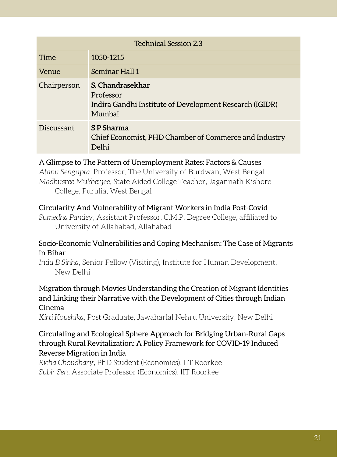| <b>Technical Session 2.3</b> |                                                                                                    |
|------------------------------|----------------------------------------------------------------------------------------------------|
| Time                         | 1050-1215                                                                                          |
| Venue                        | Seminar Hall 1                                                                                     |
| Chairperson                  | S. Chandrasekhar<br>Professor<br>Indira Gandhi Institute of Development Research (IGIDR)<br>Mumbai |
| Discussant                   | S P Sharma<br>Chief Economist, PHD Chamber of Commerce and Industry<br>Delhi                       |

#### A Glimpse to The Pattern of Unemployment Rates: Factors & Causes

*Atanu Sengupta*, Professor, The University of Burdwan, West Bengal *Madhusree Mukherjee*, State Aided College Teacher, Jagannath Kishore College, Purulia, West Bengal

#### Circularity And Vulnerability of Migrant Workers in India Post-Covid

*Sumedha Pandey*, Assistant Professor, C.M.P. Degree College, affiliated to University of Allahabad, Allahabad

#### Socio-Economic Vulnerabilities and Coping Mechanism: The Case of Migrants in Bihar

*Indu B Sinha*, Senior Fellow (Visiting), Institute for Human Development, New Delhi

#### Migration through Movies Understanding the Creation of Migrant Identities and Linking their Narrative with the Development of Cities through Indian Cinema

*Kirti Koushika*, Post Graduate, Jawaharlal Nehru University, New Delhi

#### Circulating and Ecological Sphere Approach for Bridging Urban-Rural Gaps through Rural Revitalization: A Policy Framework for COVID-19 Induced Reverse Migration in India

*Richa Choudhary*, PhD Student (Economics), IIT Roorkee *Subir Sen*, Associate Professor (Economics), IIT Roorkee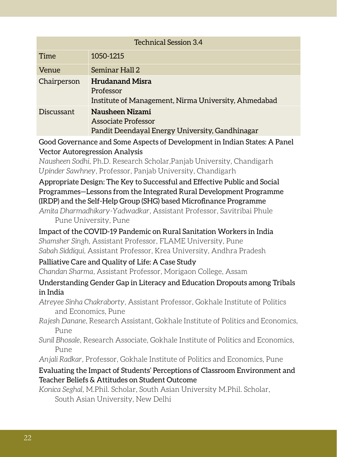| Technical Session 3.4 |                                                                                             |
|-----------------------|---------------------------------------------------------------------------------------------|
| Time                  | 1050-1215                                                                                   |
| <b>Venue</b>          | Seminar Hall 2                                                                              |
| Chairperson           | <b>Hrudanand Misra</b><br>Professor<br>Institute of Management, Nirma University, Ahmedabad |
| Discussant            | Nausheen Nizami<br>Associate Professor<br>Pandit Deendayal Energy University, Gandhinagar   |

Good Governance and Some Aspects of Development in Indian States: A Panel Vector Autoregression Analysis

*Nausheen Sodhi*, Ph.D. Research Scholar,Panjab University, Chandigarh *Upinder Sawhney*, Professor, Panjab University, Chandigarh

#### Appropriate Design: The Key to Successful and Effective Public and Social Programmes—Lessons from the Integrated Rural Development Programme (IRDP) and the Self-Help Group (SHG) based Microfinance Programme

*Amita Dharmadhikary-Yadwadkar*, Assistant Professor, Savitribai Phule Pune University, Pune

Impact of the COVID-19 Pandemic on Rural Sanitation Workers in India *Shamsher Singh*, Assistant Professor, FLAME University, Pune *Sabah Siddiqui*, Assistant Professor, Krea University, Andhra Pradesh

#### Palliative Care and Quality of Life: A Case Study

*Chandan Sharma*, Assistant Professor, Morigaon College, Assam

#### Understanding Gender Gap in Literacy and Education Dropouts among Tribals in India

*Atreyee Sinha Chakraborty*, Assistant Professor, Gokhale Institute of Politics and Economics, Pune

*Rajesh Danane*, Research Assistant, Gokhale Institute of Politics and Economics, Pune

*Sunil Bhosale*, Research Associate, Gokhale Institute of Politics and Economics, Pune

*Anjali Radkar*, Professor, Gokhale Institute of Politics and Economics, Pune

#### Evaluating the Impact of Students' Perceptions of Classroom Environment and Teacher Beliefs & Attitudes on Student Outcome

*Konica Seghal*, M.Phil. Scholar, South Asian University M.Phil. Scholar, South Asian University, New Delhi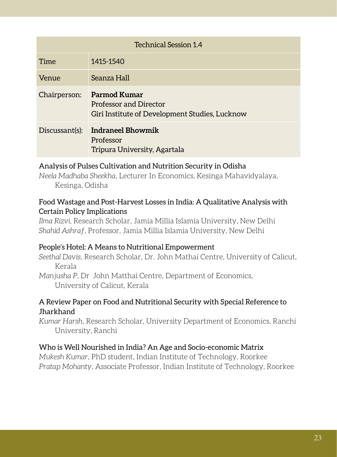| <b>Technical Session 1.4</b> |                                                                                                        |
|------------------------------|--------------------------------------------------------------------------------------------------------|
| Time                         | 1415-1540                                                                                              |
| Venue                        | Seanza Hall                                                                                            |
| Chairperson:                 | <b>Parmod Kumar</b><br><b>Professor and Director</b><br>Giri Institute of Development Studies, Lucknow |
| Discussant(s):               | Indraneel Bhowmik<br>Professor<br>Tripura University, Agartala                                         |

#### Analysis of Pulses Cultivation and Nutrition Security in Odisha

*Neela Madhaba Sheekha*, Lecturer In Economics, Kesinga Mahavidyalaya, Kesinga, Odisha

#### Food Wastage and Post-Harvest Losses in India: A Qualitative Analysis with Certain Policy Implications

*Ilma Rizvi*, Research Scholar, Jamia Millia Islamia University, New Delhi *Shahid Ashraf*, Professor, Jamia Millia Islamia University, New Delhi

#### People's Hotel: A Means to Nutritional Empowerment

*Seethal Davis*, Research Scholar, Dr. John Mathai Centre, University of Calicut, Kerala

*Manjusha P*, Dr John Matthai Centre, Department of Economics, University of Calicut, Kerala

#### A Review Paper on Food and Nutritional Security with Special Reference to **Jharkhand**

*Kumar Harsh*, Research Scholar, University Department of Economics, Ranchi University, Ranchi

#### Who is Well Nourished in India? An Age and Socio-economic Matrix

*Mukesh Kumar*, PhD student, Indian Institute of Technology, Roorkee *Pratap Mohanty*, Associate Professor, Indian Institute of Technology, Roorkee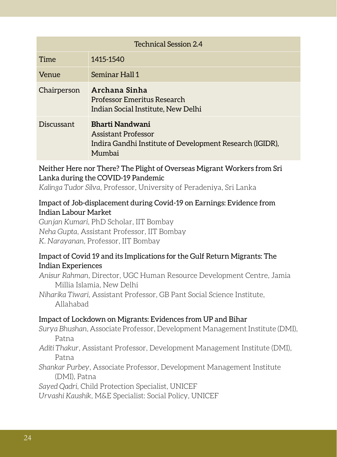| <b>Technical Session 2.4</b> |                                                                                                              |
|------------------------------|--------------------------------------------------------------------------------------------------------------|
| Time                         | 1415-1540                                                                                                    |
| Venue                        | Seminar Hall 1                                                                                               |
| Chairperson                  | Archana Sinha<br>Professor Emeritus Research<br>Indian Social Institute, New Delhi                           |
| Discussant                   | Bharti Nandwani<br>Assistant Professor<br>Indira Gandhi Institute of Development Research (IGIDR),<br>Mumbai |

Neither Here nor There? The Plight of Overseas Migrant Workers from Sri Lanka during the COVID-19 Pandemic

*Kalinga Tudor Silva*, Professor, University of Peradeniya, Sri Lanka

#### Impact of Job-displacement during Covid-19 on Earnings: Evidence from Indian Labour Market

*Gunjan Kumari*, PhD Scholar, IIT Bombay *Neha Gupta*, Assistant Professor, IIT Bombay *K. Narayanan*, Professor, IIT Bombay

#### Impact of Covid 19 and its Implications for the Gulf Return Migrants: The Indian Experiences

*Anisur Rahman*, Director, UGC Human Resource Development Centre, Jamia Millia Islamia, New Delhi

*Niharika Tiwari*, Assistant Professor, GB Pant Social Science Institute, Allahabad

#### Impact of Lockdown on Migrants: Evidences from UP and Bihar

*Surya Bhushan*, Associate Professor, Development Management Institute (DMI), Patna

*Aditi Thakur*, Assistant Professor, Development Management Institute (DMI), Patna

*Shankar Purbey*, Associate Professor, Development Management Institute (DMI), Patna

*Sayed Qadri*, Child Protection Specialist, UNICEF

*Urvashi Kaushik*, M&E Specialist: Social Policy, UNICEF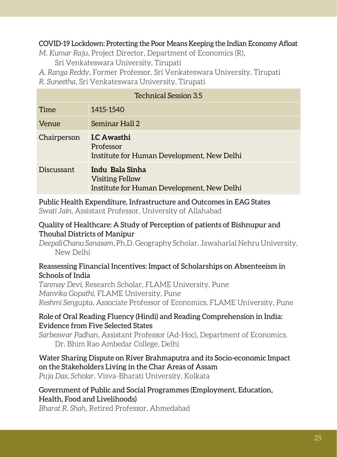#### COVID-19 Lockdown: Protecting the Poor Means Keeping the Indian Economy Afloat

*M. Kumar Raju*, Project Director, Department of Economics (R),

Sri Venkateswara University, Tirupati

*A. Ranga Reddy*, Former Professor, Sri Venkateswara University, Tirupati

*R. Suneetha*, Sri Venkateswara University, Tirupati

| Technical Session 3.5 |                                                                                         |
|-----------------------|-----------------------------------------------------------------------------------------|
| <b>Time</b>           | 1415-1540                                                                               |
| Venue                 | Seminar Hall 2                                                                          |
| Chairperson           | <b>I.C Awasthi</b><br>Professor<br>Institute for Human Development, New Delhi           |
| Discussant            | Indu Bala Sinha<br><b>Visiting Fellow</b><br>Institute for Human Development, New Delhi |

#### Public Health Expenditure, Infrastructure and Outcomes in EAG States *Swati Jain*, Assistant Professor, University of Allahabad

#### Quality of Healthcare: A Study of Perception of patients of Bishnupur and Thoubal Districts of Manipur

*Deepali Chanu Sanasam*, Ph.D. Geography Scholar, Jawaharlal Nehru University, New Delhi

#### Reassessing Financial Incentives: Impact of Scholarships on Absenteeism in Schools of India

*Tanmay Devi*, Research Scholar, FLAME University, Pune *Manvika Gopathi*, FLAME University, Pune *Reshmi Sengupta*, Associate Professor of Economics, FLAME University, Pune

#### Role of Oral Reading Fluency (Hindi) and Reading Comprehension in India: Evidence from Five Selected States

*Sarbeswar Padhan*, Assistant Professor (Ad-Hoc), Department of Economics, Dr. Bhim Rao Ambedar College, Delhi

#### Water Sharing Dispute on River Brahmaputra and its Socio-economic Impact on the Stakeholders Living in the Char Areas of Assam

*Puja Das, Scholar*, Visva-Bharati University, Kolkata

#### Government of Public and Social Programmes (Employment, Education, Health, Food and Livelihoods)

*Bharat R. Shah*, Retired Professor, Ahmedabad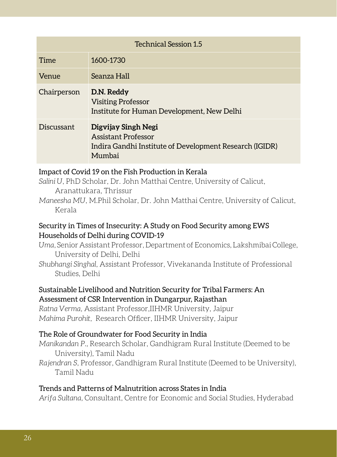| <b>Technical Session 1.5</b> |                                                                                                                        |
|------------------------------|------------------------------------------------------------------------------------------------------------------------|
| Time                         | 1600-1730                                                                                                              |
| Venue                        | Seanza Hall                                                                                                            |
| Chairperson                  | D.N. Reddy<br><b>Visiting Professor</b><br>Institute for Human Development, New Delhi                                  |
| Discussant                   | Digvijay Singh Negi<br><b>Assistant Professor</b><br>Indira Gandhi Institute of Development Research (IGIDR)<br>Mumbai |

#### Impact of Covid 19 on the Fish Production in Kerala

- *Salini U*, PhD Scholar, Dr. John Matthai Centre, University of Calicut, Aranattukara, Thrissur
- *Maneesha MU*, M.Phil Scholar, Dr. John Matthai Centre, University of Calicut, Kerala

#### Security in Times of Insecurity: A Study on Food Security among EWS Households of Delhi during COVID-19

- *Uma*, Senior Assistant Professor, Department of Economics, Lakshmibai College, University of Delhi, Delhi
- *Shubhangi Singhal*, Assistant Professor, Vivekananda Institute of Professional Studies, Delhi

#### Sustainable Livelihood and Nutrition Security for Tribal Farmers: An Assessment of CSR Intervention in Dungarpur, Rajasthan

*Ratna Verma*, Assistant Professor,IIHMR University, Jaipur *Mahima Purohit*, Research Officer, IIHMR University, Jaipur

#### The Role of Groundwater for Food Security in India

- *Manikandan P.,* Research Scholar, Gandhigram Rural Institute (Deemed to be University), Tamil Nadu
- *Rajendran S*, Professor, Gandhigram Rural Institute (Deemed to be University), Tamil Nadu

#### Trends and Patterns of Malnutrition across States in India

*Arifa Sultana,* Consultant, Centre for Economic and Social Studies, Hyderabad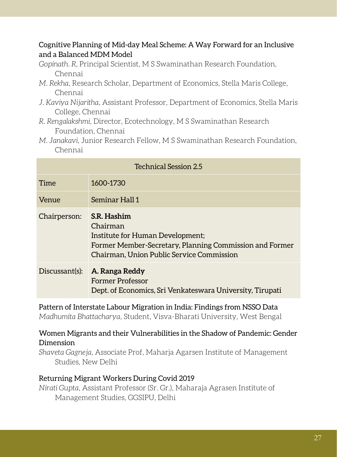#### Cognitive Planning of Mid-day Meal Scheme: A Way Forward for an Inclusive and a Balanced MDM Model

- *Gopinath. R,* Principal Scientist, M S Swaminathan Research Foundation, Chennai
- *M. Rekha,* Research Scholar, Department of Economics, Stella Maris College, Chennai
- *J. Kaviya Nijaritha,* Assistant Professor, Department of Economics, Stella Maris College, Chennai
- *R. Rengalakshmi,* Director, Ecotechnology, M S Swaminathan Research Foundation, Chennai
- *M. Janakavi,* Junior Research Fellow, M S Swaminathan Research Foundation, Chennai

| <b>Technical Session 2.5</b> |                                                                                                                                                                     |
|------------------------------|---------------------------------------------------------------------------------------------------------------------------------------------------------------------|
| Time                         | 1600-1730                                                                                                                                                           |
| Venue                        | Seminar Hall 1                                                                                                                                                      |
| Chairperson:                 | S.R. Hashim<br>Chairman<br>Institute for Human Development;<br>Former Member-Secretary, Planning Commission and Former<br>Chairman, Union Public Service Commission |
| Discussant(s):               | A. Ranga Reddy<br><b>Former Professor</b><br>Dept. of Economics, Sri Venkateswara University, Tirupati                                                              |

#### Pattern of Interstate Labour Migration in India: Findings from NSSO Data *Madhumita Bhattacharya*, Student, Visva-Bharati University, West Bengal

#### Women Migrants and their Vulnerabilities in the Shadow of Pandemic: Gender Dimension

*Shaveta Gagneja*, Associate Prof, Maharja Agarsen Institute of Management Studies, New Delhi

#### Returning Migrant Workers During Covid 2019

*Nirati Gupta*, Assistant Professor (Sr. Gr.), Maharaja Agrasen Institute of Management Studies, GGSIPU, Delhi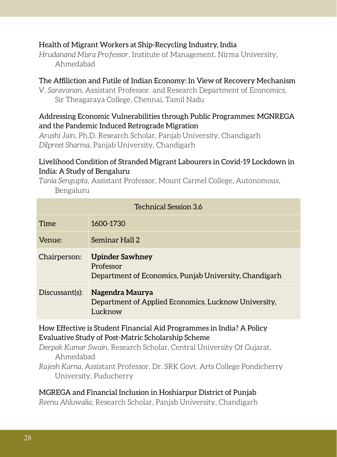#### Health of Migrant Workers at Ship-Recycling Industry, India

*Hrudanand Misra Professor*, Institute of Management, Nirma University, Ahmedabad

#### The Affiliction and Futile of Indian Economy: In View of Recovery Mechanism

*V. Saravanan*, Assistant Professor. and Research Department of Economics, Sir Theagaraya College, Chennai, Tamil Nadu

#### Addressing Economic Vulnerabilities through Public Programmes: MGNREGA and the Pandemic Induced Retrograde Migration

*Arushi Jain*, Ph.D. Research Scholar, Panjab University, Chandigarh *Dilpreet Sharma*, Panjab University, Chandigarh

#### Livelihood Condition of Stranded Migrant Labourers in Covid-19 Lockdown in India: A Study of Bengaluru

*Tania Sengupta*, Assistant Professor, Mount Carmel College, Autonomous, Bengaluru

| Technical Session 3.6 |                                                                                               |  |
|-----------------------|-----------------------------------------------------------------------------------------------|--|
| Time                  | 1600-1730                                                                                     |  |
| Venue:                | Seminar Hall 2                                                                                |  |
| Chairperson:          | <b>Upinder Sawhney</b><br>Professor<br>Department of Economics, Punjab University, Chandigarh |  |
| Discussant(s):        | Nagendra Maurya<br>Department of Applied Economics, Lucknow University,<br>Lucknow            |  |

How Effective is Student Financial Aid Programmes in India? A Policy Evaluative Study of Post-Matric Scholarship Scheme

*Deepak Kumar Swain*, Research Scholar, Central University Of Gujarat, Ahmedabad

*Rajesh Karna*, Assistant Professor, Dr. SRK Govt. Arts College Pondicherry University, Puducherry

#### MGREGA and Financial Inclusion in Hoshiarpur District of Punjab

*Reenu Ahluwalia*, Research Scholar, Panjab University, Chandigarh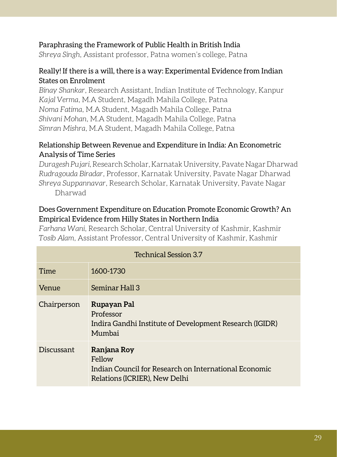#### Paraphrasing the Framework of Public Health in British India

*Shreya Singh*, Assistant professor, Patna women's college, Patna

#### Really! If there is a will, there is a way: Experimental Evidence from Indian States on Enrolment

*Binay Shankar*, Research Assistant, Indian Institute of Technology, Kanpur *Kajal Verma*, M.A Student, Magadh Mahila College, Patna *Noma Fatima*, M.A Student, Magadh Mahila College, Patna *Shivani Mohan*, M.A Student, Magadh Mahila College, Patna *Simran Mishra*, M.A Student, Magadh Mahila College, Patna

#### Relationship Between Revenue and Expenditure in India: An Econometric Analysis of Time Series

*Duragesh Pujari*, Research Scholar, Karnatak University, Pavate Nagar Dharwad *Rudragouda Biradar*, Professor, Karnatak University, Pavate Nagar Dharwad *Shreya Suppannavar*, Research Scholar, Karnatak University, Pavate Nagar Dharwad

#### Does Government Expenditure on Education Promote Economic Growth? An Empirical Evidence from Hilly States in Northern India

*Farhana Wani*, Research Scholar, Central University of Kashmir, Kashmir *Tosib Alam*, Assistant Professor, Central University of Kashmir, Kashmir

| <b>Technical Session 3.7</b> |                                                                                                                 |  |
|------------------------------|-----------------------------------------------------------------------------------------------------------------|--|
| Time                         | 1600-1730                                                                                                       |  |
| Venue                        | Seminar Hall 3                                                                                                  |  |
| Chairperson                  | Rupayan Pal<br>Professor<br>Indira Gandhi Institute of Development Research (IGIDR)<br>Mumbai                   |  |
| Discussant                   | Ranjana Roy<br>Fellow<br>Indian Council for Research on International Economic<br>Relations (ICRIER), New Delhi |  |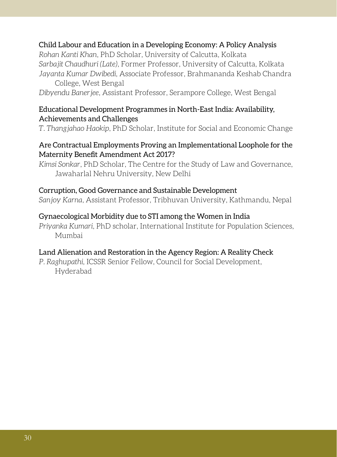#### Child Labour and Education in a Developing Economy: A Policy Analysis

*Rohan Kanti Khan*, PhD Scholar, University of Calcutta, Kolkata *Sarbajit Chaudhuri (Late)*, Former Professor, University of Calcutta, Kolkata *Jayanta Kumar Dwibedi*, Associate Professor, Brahmananda Keshab Chandra College, West Bengal

*Dibyendu Banerjee*, Assistant Professor, Serampore College, West Bengal

#### Educational Development Programmes in North-East India: Availability, Achievements and Challenges

*T. Thangjahao Haokip*, PhD Scholar, Institute for Social and Economic Change

#### Are Contractual Employments Proving an Implementational Loophole for the Maternity Benefit Amendment Act 2017?

*Kimsi Sonkar*, PhD Scholar, The Centre for the Study of Law and Governance, Jawaharlal Nehru University, New Delhi

#### Corruption, Good Governance and Sustainable Development

*Sanjoy Karna*, Assistant Professor, Tribhuvan University, Kathmandu, Nepal

#### Gynaecological Morbidity due to STI among the Women in India

*Priyanka Kumari*, PhD scholar, International Institute for Population Sciences, Mumbai

#### Land Alienation and Restoration in the Agency Region: A Reality Check

*P. Raghupathi*, ICSSR Senior Fellow, Council for Social Development, Hyderabad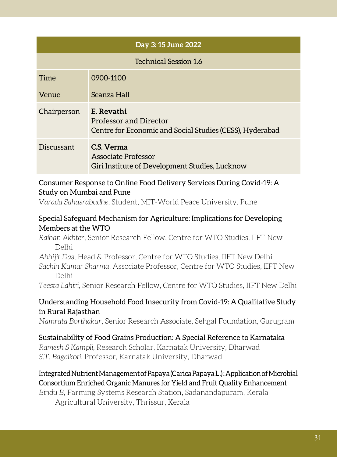|                              | Day 3:15 June 2022                                                                               |  |
|------------------------------|--------------------------------------------------------------------------------------------------|--|
| <b>Technical Session 1.6</b> |                                                                                                  |  |
| Time                         | 0900-1100                                                                                        |  |
| Venue                        | Seanza Hall                                                                                      |  |
| Chairperson                  | E. Revathi<br>Professor and Director<br>Centre for Economic and Social Studies (CESS), Hyderabad |  |
| Discussant                   | C.S. Verma<br>Associate Professor<br>Giri Institute of Development Studies, Lucknow              |  |

#### Consumer Response to Online Food Delivery Services During Covid-19: A Study on Mumbai and Pune

*Varada Sahasrabudhe*, Student, MIT-World Peace University, Pune

#### Special Safeguard Mechanism for Agriculture: Implications for Developing Members at the WTO

*Raihan Akhter*, Senior Research Fellow, Centre for WTO Studies, IIFT New Delhi

*Abhijit Das*, Head & Professor, Centre for WTO Studies, IIFT New Delhi

*Sachin Kumar Sharma*, Associate Professor, Centre for WTO Studies, IIFT New Delhi

*Teesta Lahiri*, Senior Research Fellow, Centre for WTO Studies, IIFT New Delhi

#### Understanding Household Food Insecurity from Covid-19: A Qualitative Study in Rural Rajasthan

*Namrata Borthakur*, Senior Research Associate, Sehgal Foundation, Gurugram

#### Sustainability of Food Grains Production: A Special Reference to Karnataka

*Ramesh S Kampli*, Research Scholar, Karnatak University, Dharwad *S.T. Bagalkoti*, Professor, Karnatak University, Dharwad

#### Integrated Nutrient Management of Papaya (Carica Papaya L.) : Application of Microbial Consortium Enriched Organic Manures for Yield and Fruit Quality Enhancement

*Bindu B*, Farming Systems Research Station, Sadanandapuram, Kerala Agricultural University, Thrissur, Kerala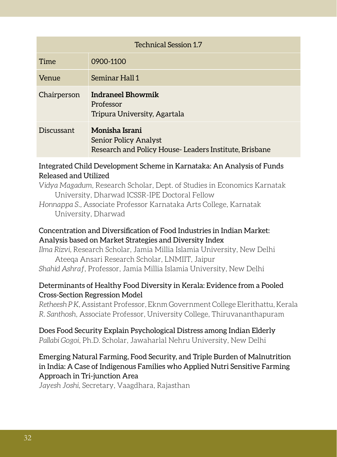| <b>Technical Session 1.7</b> |                                                                                                  |  |
|------------------------------|--------------------------------------------------------------------------------------------------|--|
| Time                         | 0900-1100                                                                                        |  |
| Venue                        | Seminar Hall 1                                                                                   |  |
| Chairperson                  | <b>Indraneel Bhowmik</b><br>Professor<br>Tripura University, Agartala                            |  |
| Discussant                   | Monisha Israni<br>Senior Policy Analyst<br>Research and Policy House-Leaders Institute, Brisbane |  |

#### Integrated Child Development Scheme in Karnataka: An Analysis of Funds Released and Utilized

*Vidya Magadum*, Research Scholar, Dept. of Studies in Economics Karnatak University, Dharwad ICSSR-IPE Doctoral Fellow *Honnappa S.,* Associate Professor Karnataka Arts College, Karnatak

University, Dharwad

#### Concentration and Diversification of Food Industries in Indian Market: Analysis based on Market Strategies and Diversity Index

*Ilma Rizvi,* Research Scholar, Jamia Millia Islamia University, New Delhi Ateeqa Ansari Research Scholar, LNMIIT, Jaipur *Shahid Ashraf*, Professor, Jamia Millia Islamia University, New Delhi

#### Determinants of Healthy Food Diversity in Kerala: Evidence from a Pooled Cross-Section Regression Model

*Retheesh P K*, Assistant Professor, Eknm Government College Elerithattu, Kerala *R. Santhosh*, Associate Professor, University College, Thiruvananthapuram

#### Does Food Security Explain Psychological Distress among Indian Elderly *Pallabi Gogoi*, Ph.D. Scholar, Jawaharlal Nehru University, New Delhi

#### Emerging Natural Farming, Food Security, and Triple Burden of Malnutrition in India: A Case of Indigenous Families who Applied Nutri Sensitive Farming Approach in Tri-junction Area

*Jayesh Joshi*, Secretary, Vaagdhara, Rajasthan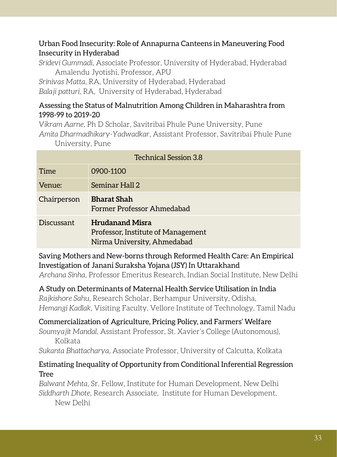#### Urban Food Insecurity: Role of Annapurna Canteens in Maneuvering Food Insecurity in Hyderabad

*Sridevi Gummadi*, Associate Professor, University of Hyderabad, Hyderabad Amalendu Jyotishi, Professor, APU

*Srinivas Matta*, RA, University of Hyderabad, Hyderabad *Balaji patturi*, RA, University of Hyderabad, Hyderabad

#### Assessing the Status of Malnutrition Among Children in Maharashtra from 1998-99 to 2019-20

*Vikram Aarne*, Ph D Scholar, Savitribai Phule Pune University, Pune *Amita Dharmadhikary-Yadwadkar*, Assistant Professor, Savitribai Phule Pune University, Pune

| <b>Technical Session 3.8</b> |                                                                                             |  |
|------------------------------|---------------------------------------------------------------------------------------------|--|
| Time                         | 0900-1100                                                                                   |  |
| Venue:                       | Seminar Hall 2                                                                              |  |
| Chairperson                  | <b>Bharat Shah</b><br>Former Professor Ahmedabad                                            |  |
| Discussant                   | <b>Hrudanand Misra</b><br>Professor, Institute of Management<br>Nirma University, Ahmedabad |  |

Saving Mothers and New-borns through Reformed Health Care: An Empirical Investigation of Janani Suraksha Yojana (JSY) In Uttarakhand

*Archana Sinha*, Professor Emeritus Research, Indian Social Institute, New Delhi

A Study on Determinants of Maternal Health Service Utilisation in India *Rajkishore Sahu*, Research Scholar, Berhampur University, Odisha, *Hemangi Kadlak*, Visiting Faculty, Vellore Institute of Technology, Tamil Nadu

### Commercialization of Agriculture, Pricing Policy, and Farmers' Welfare

*Soumyajit Mandal*, Assistant Professor, St. Xavier's College (Autonomous), Kolkata

*Sukanta Bhattacharya*, Associate Professor, University of Calcutta, Kolkata

#### Estimating Inequality of Opportunity from Conditional Inferential Regression Tree

*Balwant Mehta*, Sr. Fellow, Institute for Human Development, New Delhi *Siddharth Dhote*, Research Associate, Institute for Human Development, New Delhi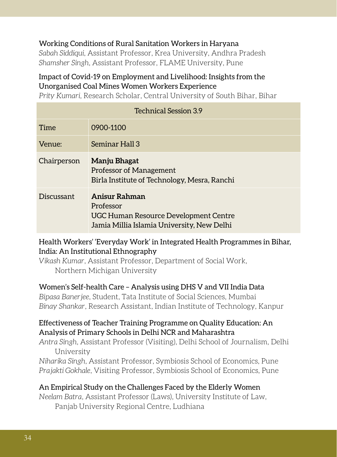#### Working Conditions of Rural Sanitation Workers in Haryana

*Sabah Siddiqui*, Assistant Professor, Krea University, Andhra Pradesh *Shamsher Singh*, Assistant Professor, FLAME University, Pune

#### Impact of Covid-19 on Employment and Livelihood: Insights from the Unorganised Coal Mines Women Workers Experience

*Prity Kumari*, Research Scholar, Central University of South Bihar, Bihar

| <b>Technical Session 3.9</b> |                                                                                                                   |  |
|------------------------------|-------------------------------------------------------------------------------------------------------------------|--|
| Time                         | 0900-1100                                                                                                         |  |
| Venue:                       | Seminar Hall 3                                                                                                    |  |
| Chairperson                  | Manju Bhagat<br><b>Professor of Management</b><br>Birla Institute of Technology, Mesra, Ranchi                    |  |
| Discussant                   | Anisur Rahman<br>Professor<br>UGC Human Resource Development Centre<br>Jamia Millia Islamia University, New Delhi |  |

#### Health Workers' 'Everyday Work' in Integrated Health Programmes in Bihar, India: An Institutional Ethnography

*Vikash Kumar*, Assistant Professor, Department of Social Work, Northern Michigan University

#### Women's Self-health Care – Analysis using DHS V and VII India Data

*Bipasa Banerjee*, Student, Tata Institute of Social Sciences, Mumbai *Binay Shankar*, Research Assistant, Indian Institute of Technology, Kanpur

#### Effectiveness of Teacher Training Programme on Quality Education: An Analysis of Primary Schools in Delhi NCR and Maharashtra

*Antra Singh*, Assistant Professor (Visiting), Delhi School of Journalism, Delhi University

*Niharika Singh*, Assistant Professor, Symbiosis School of Economics, Pune *Prajakti Gokhale*, Visiting Professor, Symbiosis School of Economics, Pune

#### An Empirical Study on the Challenges Faced by the Elderly Women

*Neelam Batra*, Assistant Professor (Laws), University Institute of Law, Panjab University Regional Centre, Ludhiana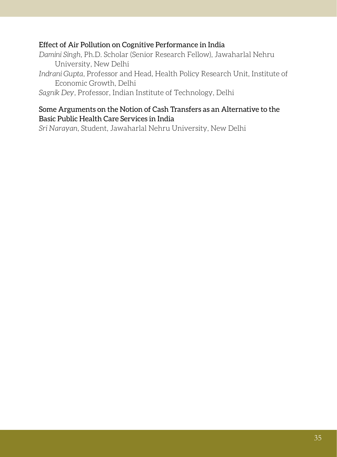#### Effect of Air Pollution on Cognitive Performance in India

- *Damini Singh*, Ph.D. Scholar (Senior Research Fellow), Jawaharlal Nehru University, New Delhi
- *Indrani Gupta*, Professor and Head, Health Policy Research Unit, Institute of Economic Growth, Delhi

*Sagnik Dey*, Professor, Indian Institute of Technology, Delhi

#### Some Arguments on the Notion of Cash Transfers as an Alternative to the Basic Public Health Care Services in India

*Sri Narayan,* Student, Jawaharlal Nehru University, New Delhi